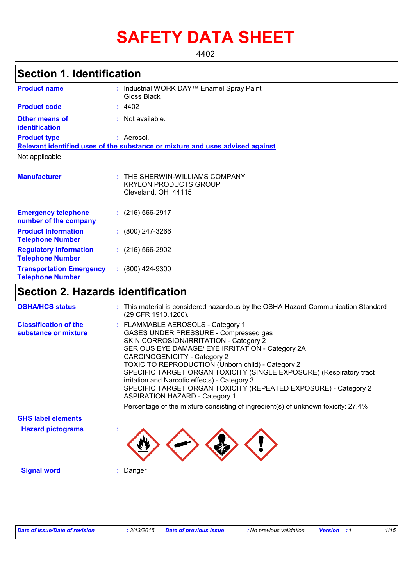# **SAFETY DATA SHEET**

4402

### **Section 1. Identification**

| <b>Product name</b>                                        | : Industrial WORK DAY™ Enamel Spray Paint<br>Gloss Black                              |
|------------------------------------------------------------|---------------------------------------------------------------------------------------|
| <b>Product code</b>                                        | : 4402                                                                                |
| <b>Other means of</b><br>identification                    | : Not available.                                                                      |
| <b>Product type</b>                                        | : Aerosol.                                                                            |
|                                                            | Relevant identified uses of the substance or mixture and uses advised against         |
| Not applicable.                                            |                                                                                       |
| <b>Manufacturer</b>                                        | : THE SHERWIN-WILLIAMS COMPANY<br><b>KRYLON PRODUCTS GROUP</b><br>Cleveland, OH 44115 |
| <b>Emergency telephone</b><br>number of the company        | $: (216) 566 - 2917$                                                                  |
| <b>Product Information</b><br><b>Telephone Number</b>      | $: (800)$ 247-3266                                                                    |
| <b>Regulatory Information</b><br><b>Telephone Number</b>   | $(216)$ 566-2902                                                                      |
| <b>Transportation Emergency</b><br><b>Telephone Number</b> | $: (800)$ 424-9300                                                                    |

## **Section 2. Hazards identification**

| <b>OSHA/HCS status</b>                               | : This material is considered hazardous by the OSHA Hazard Communication Standard<br>(29 CFR 1910.1200).                                                                                                                                                                                                                                                                                                                                                                                                                                                                              |
|------------------------------------------------------|---------------------------------------------------------------------------------------------------------------------------------------------------------------------------------------------------------------------------------------------------------------------------------------------------------------------------------------------------------------------------------------------------------------------------------------------------------------------------------------------------------------------------------------------------------------------------------------|
| <b>Classification of the</b><br>substance or mixture | : FLAMMABLE AEROSOLS - Category 1<br>GASES UNDER PRESSURE - Compressed gas<br>SKIN CORROSION/IRRITATION - Category 2<br>SERIOUS EYE DAMAGE/ EYE IRRITATION - Category 2A<br>CARCINOGENICITY - Category 2<br>TOXIC TO REPRODUCTION (Unborn child) - Category 2<br>SPECIFIC TARGET ORGAN TOXICITY (SINGLE EXPOSURE) (Respiratory tract<br>irritation and Narcotic effects) - Category 3<br>SPECIFIC TARGET ORGAN TOXICITY (REPEATED EXPOSURE) - Category 2<br><b>ASPIRATION HAZARD - Category 1</b><br>Percentage of the mixture consisting of ingredient(s) of unknown toxicity: 27.4% |
| <b>GHS label elements</b>                            |                                                                                                                                                                                                                                                                                                                                                                                                                                                                                                                                                                                       |
| <b>Hazard pictograms</b>                             |                                                                                                                                                                                                                                                                                                                                                                                                                                                                                                                                                                                       |
| <b>Signal word</b>                                   | Danger                                                                                                                                                                                                                                                                                                                                                                                                                                                                                                                                                                                |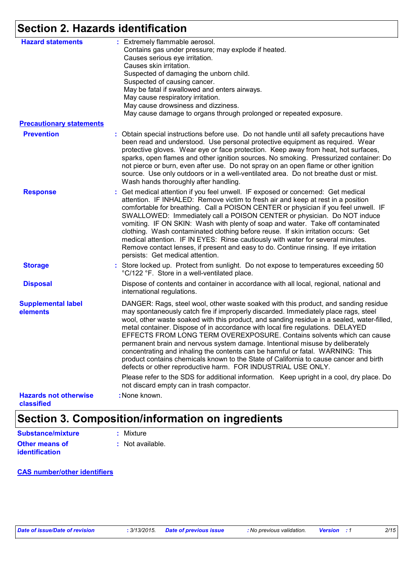# **Section 2. Hazards identification**

| <b>Hazard statements</b>                   | : Extremely flammable aerosol.<br>Contains gas under pressure; may explode if heated.<br>Causes serious eye irritation.<br>Causes skin irritation.<br>Suspected of damaging the unborn child.<br>Suspected of causing cancer.<br>May be fatal if swallowed and enters airways.<br>May cause respiratory irritation.<br>May cause drowsiness and dizziness.<br>May cause damage to organs through prolonged or repeated exposure.                                                                                                                                                                                                                                                                                                                                 |
|--------------------------------------------|------------------------------------------------------------------------------------------------------------------------------------------------------------------------------------------------------------------------------------------------------------------------------------------------------------------------------------------------------------------------------------------------------------------------------------------------------------------------------------------------------------------------------------------------------------------------------------------------------------------------------------------------------------------------------------------------------------------------------------------------------------------|
| <b>Precautionary statements</b>            |                                                                                                                                                                                                                                                                                                                                                                                                                                                                                                                                                                                                                                                                                                                                                                  |
| <b>Prevention</b>                          | : Obtain special instructions before use. Do not handle until all safety precautions have<br>been read and understood. Use personal protective equipment as required. Wear<br>protective gloves. Wear eye or face protection. Keep away from heat, hot surfaces,<br>sparks, open flames and other ignition sources. No smoking. Pressurized container: Do<br>not pierce or burn, even after use. Do not spray on an open flame or other ignition<br>source. Use only outdoors or in a well-ventilated area. Do not breathe dust or mist.<br>Wash hands thoroughly after handling.                                                                                                                                                                                |
| <b>Response</b>                            | : Get medical attention if you feel unwell. IF exposed or concerned: Get medical<br>attention. IF INHALED: Remove victim to fresh air and keep at rest in a position<br>comfortable for breathing. Call a POISON CENTER or physician if you feel unwell. IF<br>SWALLOWED: Immediately call a POISON CENTER or physician. Do NOT induce<br>vomiting. IF ON SKIN: Wash with plenty of soap and water. Take off contaminated<br>clothing. Wash contaminated clothing before reuse. If skin irritation occurs: Get<br>medical attention. IF IN EYES: Rinse cautiously with water for several minutes.<br>Remove contact lenses, if present and easy to do. Continue rinsing. If eye irritation<br>persists: Get medical attention.                                   |
| <b>Storage</b>                             | Store locked up. Protect from sunlight. Do not expose to temperatures exceeding 50<br>°C/122 °F. Store in a well-ventilated place.                                                                                                                                                                                                                                                                                                                                                                                                                                                                                                                                                                                                                               |
| <b>Disposal</b>                            | Dispose of contents and container in accordance with all local, regional, national and<br>international regulations.                                                                                                                                                                                                                                                                                                                                                                                                                                                                                                                                                                                                                                             |
| <b>Supplemental label</b><br>elements      | DANGER: Rags, steel wool, other waste soaked with this product, and sanding residue<br>may spontaneously catch fire if improperly discarded. Immediately place rags, steel<br>wool, other waste soaked with this product, and sanding residue in a sealed, water-filled,<br>metal container. Dispose of in accordance with local fire regulations. DELAYED<br>EFFECTS FROM LONG TERM OVEREXPOSURE. Contains solvents which can cause<br>permanent brain and nervous system damage. Intentional misuse by deliberately<br>concentrating and inhaling the contents can be harmful or fatal. WARNING: This<br>product contains chemicals known to the State of California to cause cancer and birth<br>defects or other reproductive harm. FOR INDUSTRIAL USE ONLY. |
|                                            | Please refer to the SDS for additional information. Keep upright in a cool, dry place. Do<br>not discard empty can in trash compactor.                                                                                                                                                                                                                                                                                                                                                                                                                                                                                                                                                                                                                           |
| <b>Hazards not otherwise</b><br>classified | : None known.                                                                                                                                                                                                                                                                                                                                                                                                                                                                                                                                                                                                                                                                                                                                                    |

## **Section 3. Composition/information on ingredients**

| Substance/mixture     | : Mixture        |
|-----------------------|------------------|
| Other means of        | : Not available. |
| <b>identification</b> |                  |

#### **CAS number/other identifiers**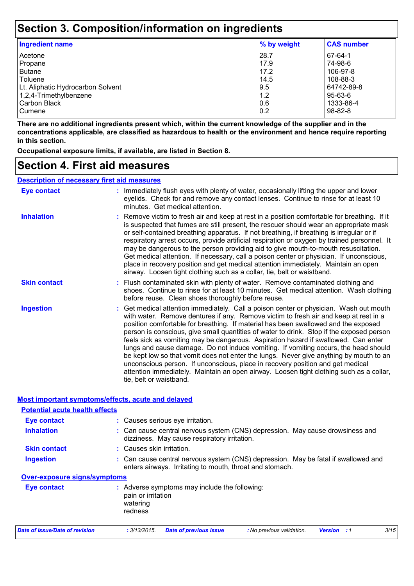### **Section 3. Composition/information on ingredients**

| <b>Ingredient name</b>            | % by weight | <b>CAS number</b> |
|-----------------------------------|-------------|-------------------|
| Acetone                           | 28.7        | 67-64-1           |
| Propane                           | 17.9        | 74-98-6           |
| Butane                            | 17.2        | 106-97-8          |
| Toluene                           | 14.5        | 108-88-3          |
| Lt. Aliphatic Hydrocarbon Solvent | 9.5         | 64742-89-8        |
| $1,2,4$ -Trimethylbenzene         | 1.2         | 95-63-6           |
| Carbon Black                      | 0.6         | 1333-86-4         |
| <b>Cumene</b>                     | 0.2         | 98-82-8           |

**There are no additional ingredients present which, within the current knowledge of the supplier and in the concentrations applicable, are classified as hazardous to health or the environment and hence require reporting in this section.**

**Occupational exposure limits, if available, are listed in Section 8.**

### **Section 4. First aid measures**

#### **Description of necessary first aid measures**

| Eye contact         | : Immediately flush eyes with plenty of water, occasionally lifting the upper and lower<br>eyelids. Check for and remove any contact lenses. Continue to rinse for at least 10<br>minutes. Get medical attention.                                                                                                                                                                                                                                                                                                                                                                                                                                                                                                                                                                                                                               |
|---------------------|-------------------------------------------------------------------------------------------------------------------------------------------------------------------------------------------------------------------------------------------------------------------------------------------------------------------------------------------------------------------------------------------------------------------------------------------------------------------------------------------------------------------------------------------------------------------------------------------------------------------------------------------------------------------------------------------------------------------------------------------------------------------------------------------------------------------------------------------------|
| <b>Inhalation</b>   | : Remove victim to fresh air and keep at rest in a position comfortable for breathing. If it<br>is suspected that fumes are still present, the rescuer should wear an appropriate mask<br>or self-contained breathing apparatus. If not breathing, if breathing is irregular or if<br>respiratory arrest occurs, provide artificial respiration or oxygen by trained personnel. It<br>may be dangerous to the person providing aid to give mouth-to-mouth resuscitation.<br>Get medical attention. If necessary, call a poison center or physician. If unconscious,<br>place in recovery position and get medical attention immediately. Maintain an open<br>airway. Loosen tight clothing such as a collar, tie, belt or waistband.                                                                                                            |
| <b>Skin contact</b> | : Flush contaminated skin with plenty of water. Remove contaminated clothing and<br>shoes. Continue to rinse for at least 10 minutes. Get medical attention. Wash clothing<br>before reuse. Clean shoes thoroughly before reuse.                                                                                                                                                                                                                                                                                                                                                                                                                                                                                                                                                                                                                |
| <b>Ingestion</b>    | : Get medical attention immediately. Call a poison center or physician. Wash out mouth<br>with water. Remove dentures if any. Remove victim to fresh air and keep at rest in a<br>position comfortable for breathing. If material has been swallowed and the exposed<br>person is conscious, give small quantities of water to drink. Stop if the exposed person<br>feels sick as vomiting may be dangerous. Aspiration hazard if swallowed. Can enter<br>lungs and cause damage. Do not induce vomiting. If vomiting occurs, the head should<br>be kept low so that vomit does not enter the lungs. Never give anything by mouth to an<br>unconscious person. If unconscious, place in recovery position and get medical<br>attention immediately. Maintain an open airway. Loosen tight clothing such as a collar,<br>tie, belt or waistband. |

#### **Most important symptoms/effects, acute and delayed**

| <b>Potential acute health effects</b> |                                                                                                                                                |
|---------------------------------------|------------------------------------------------------------------------------------------------------------------------------------------------|
| <b>Eye contact</b>                    | : Causes serious eye irritation.                                                                                                               |
| <b>Inhalation</b>                     | : Can cause central nervous system (CNS) depression. May cause drowsiness and<br>dizziness. May cause respiratory irritation.                  |
| <b>Skin contact</b>                   | : Causes skin irritation.                                                                                                                      |
| <b>Ingestion</b>                      | : Can cause central nervous system (CNS) depression. May be fatal if swallowed and<br>enters airways. Irritating to mouth, throat and stomach. |
| <b>Over-exposure signs/symptoms</b>   |                                                                                                                                                |
| Eye contact                           | : Adverse symptoms may include the following:<br>pain or irritation<br>watering<br>redness                                                     |
| Date of issue/Date of revision        | 3/15<br>: 3/13/2015.<br><b>Date of previous issue</b><br>: No previous validation.<br><b>Version</b> : 1                                       |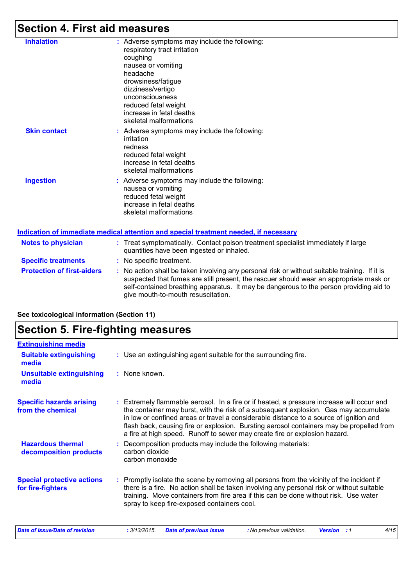# **Section 4. First aid measures**

**See toxicological information (Section 11)**

| <b>Inhalation</b>                 | : Adverse symptoms may include the following:<br>respiratory tract irritation<br>coughing<br>nausea or vomiting<br>headache<br>drowsiness/fatigue<br>dizziness/vertigo<br>unconsciousness<br>reduced fetal weight<br>increase in fetal deaths<br>skeletal malformations                                                 |
|-----------------------------------|-------------------------------------------------------------------------------------------------------------------------------------------------------------------------------------------------------------------------------------------------------------------------------------------------------------------------|
| <b>Skin contact</b>               | : Adverse symptoms may include the following:<br>irritation<br>redness<br>reduced fetal weight<br>increase in fetal deaths<br>skeletal malformations                                                                                                                                                                    |
| <b>Ingestion</b>                  | : Adverse symptoms may include the following:<br>nausea or vomiting<br>reduced fetal weight<br>increase in fetal deaths<br>skeletal malformations<br>Indication of immediate medical attention and special treatment needed, if necessary                                                                               |
| <b>Notes to physician</b>         | : Treat symptomatically. Contact poison treatment specialist immediately if large                                                                                                                                                                                                                                       |
|                                   | quantities have been ingested or inhaled.                                                                                                                                                                                                                                                                               |
| <b>Specific treatments</b>        | : No specific treatment.                                                                                                                                                                                                                                                                                                |
| <b>Protection of first-aiders</b> | : No action shall be taken involving any personal risk or without suitable training. If it is<br>suspected that fumes are still present, the rescuer should wear an appropriate mask or<br>self-contained breathing apparatus. It may be dangerous to the person providing aid to<br>give mouth-to-mouth resuscitation. |

| <b>Section 5. Fire-fighting measures</b>               |                                                                                                                                                                                                                                                                                                                                                                                                                                                       |  |  |
|--------------------------------------------------------|-------------------------------------------------------------------------------------------------------------------------------------------------------------------------------------------------------------------------------------------------------------------------------------------------------------------------------------------------------------------------------------------------------------------------------------------------------|--|--|
| <b>Extinguishing media</b>                             |                                                                                                                                                                                                                                                                                                                                                                                                                                                       |  |  |
| <b>Suitable extinguishing</b><br>media                 | : Use an extinguishing agent suitable for the surrounding fire.                                                                                                                                                                                                                                                                                                                                                                                       |  |  |
| <b>Unsuitable extinguishing</b><br>media               | : None known.                                                                                                                                                                                                                                                                                                                                                                                                                                         |  |  |
| <b>Specific hazards arising</b><br>from the chemical   | : Extremely flammable aerosol. In a fire or if heated, a pressure increase will occur and<br>the container may burst, with the risk of a subsequent explosion. Gas may accumulate<br>in low or confined areas or travel a considerable distance to a source of ignition and<br>flash back, causing fire or explosion. Bursting aerosol containers may be propelled from<br>a fire at high speed. Runoff to sewer may create fire or explosion hazard. |  |  |
| <b>Hazardous thermal</b><br>decomposition products     | : Decomposition products may include the following materials:<br>carbon dioxide<br>carbon monoxide                                                                                                                                                                                                                                                                                                                                                    |  |  |
| <b>Special protective actions</b><br>for fire-fighters | : Promptly isolate the scene by removing all persons from the vicinity of the incident if<br>there is a fire. No action shall be taken involving any personal risk or without suitable<br>training. Move containers from fire area if this can be done without risk. Use water<br>spray to keep fire-exposed containers cool.                                                                                                                         |  |  |
| Date of issue/Date of revision                         | 4/15<br>: 3/13/2015.<br><b>Date of previous issue</b><br>: No previous validation.<br><b>Version</b> : 1                                                                                                                                                                                                                                                                                                                                              |  |  |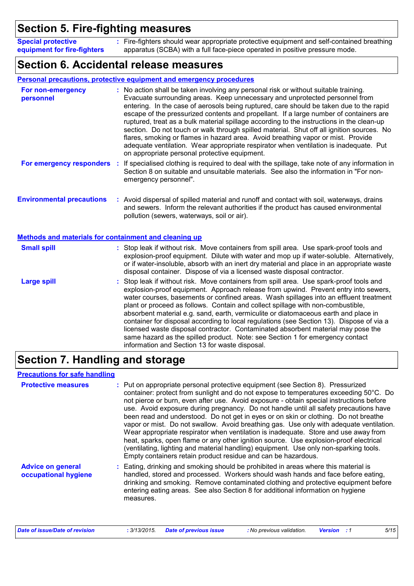### **Section 5. Fire-fighting measures**

Fire-fighters should wear appropriate protective equipment and self-contained breathing **:** apparatus (SCBA) with a full face-piece operated in positive pressure mode. **Special protective equipment for fire-fighters**

### **Section 6. Accidental release measures**

#### **Personal precautions, protective equipment and emergency procedures**

| For non-emergency<br>personnel                               | : No action shall be taken involving any personal risk or without suitable training.<br>Evacuate surrounding areas. Keep unnecessary and unprotected personnel from<br>entering. In the case of aerosols being ruptured, care should be taken due to the rapid<br>escape of the pressurized contents and propellant. If a large number of containers are<br>ruptured, treat as a bulk material spillage according to the instructions in the clean-up<br>section. Do not touch or walk through spilled material. Shut off all ignition sources. No<br>flares, smoking or flames in hazard area. Avoid breathing vapor or mist. Provide<br>adequate ventilation. Wear appropriate respirator when ventilation is inadequate. Put<br>on appropriate personal protective equipment. |  |
|--------------------------------------------------------------|----------------------------------------------------------------------------------------------------------------------------------------------------------------------------------------------------------------------------------------------------------------------------------------------------------------------------------------------------------------------------------------------------------------------------------------------------------------------------------------------------------------------------------------------------------------------------------------------------------------------------------------------------------------------------------------------------------------------------------------------------------------------------------|--|
|                                                              | For emergency responders : If specialised clothing is required to deal with the spillage, take note of any information in<br>Section 8 on suitable and unsuitable materials. See also the information in "For non-<br>emergency personnel".                                                                                                                                                                                                                                                                                                                                                                                                                                                                                                                                      |  |
| <b>Environmental precautions</b>                             | : Avoid dispersal of spilled material and runoff and contact with soil, waterways, drains<br>and sewers. Inform the relevant authorities if the product has caused environmental<br>pollution (sewers, waterways, soil or air).                                                                                                                                                                                                                                                                                                                                                                                                                                                                                                                                                  |  |
| <b>Methods and materials for containment and cleaning up</b> |                                                                                                                                                                                                                                                                                                                                                                                                                                                                                                                                                                                                                                                                                                                                                                                  |  |
| <b>Small spill</b>                                           | : Stop leak if without risk. Move containers from spill area. Use spark-proof tools and<br>explosion-proof equipment. Dilute with water and mop up if water-soluble. Alternatively,<br>or if water-insoluble, absorb with an inert dry material and place in an appropriate waste<br>disposal container. Dispose of via a licensed waste disposal contractor.                                                                                                                                                                                                                                                                                                                                                                                                                    |  |
| <b>Large spill</b>                                           | : Stop leak if without risk. Move containers from spill area. Use spark-proof tools and<br>explosion-proof equipment. Approach release from upwind. Prevent entry into sewers,<br>water courses, basements or confined areas. Wash spillages into an effluent treatment<br>plant or proceed as follows. Contain and collect spillage with non-combustible,<br>absorbent material e.g. sand, earth, vermiculite or diatomaceous earth and place in<br>container for disposal according to local regulations (see Section 13). Dispose of via a<br>licensed waste disposal contractor. Contaminated absorbent material may pose the<br>same hazard as the spilled product. Note: see Section 1 for emergency contact<br>information and Section 13 for waste disposal.             |  |

### **Section 7. Handling and storage**

#### **Precautions for safe handling**

| <b>Protective measures</b>                       | : Put on appropriate personal protective equipment (see Section 8). Pressurized<br>container: protect from sunlight and do not expose to temperatures exceeding 50°C. Do<br>not pierce or burn, even after use. Avoid exposure - obtain special instructions before<br>use. Avoid exposure during pregnancy. Do not handle until all safety precautions have<br>been read and understood. Do not get in eyes or on skin or clothing. Do not breathe<br>vapor or mist. Do not swallow. Avoid breathing gas. Use only with adequate ventilation.<br>Wear appropriate respirator when ventilation is inadequate. Store and use away from<br>heat, sparks, open flame or any other ignition source. Use explosion-proof electrical<br>(ventilating, lighting and material handling) equipment. Use only non-sparking tools.<br>Empty containers retain product residue and can be hazardous. |
|--------------------------------------------------|------------------------------------------------------------------------------------------------------------------------------------------------------------------------------------------------------------------------------------------------------------------------------------------------------------------------------------------------------------------------------------------------------------------------------------------------------------------------------------------------------------------------------------------------------------------------------------------------------------------------------------------------------------------------------------------------------------------------------------------------------------------------------------------------------------------------------------------------------------------------------------------|
| <b>Advice on general</b><br>occupational hygiene | : Eating, drinking and smoking should be prohibited in areas where this material is<br>handled, stored and processed. Workers should wash hands and face before eating,<br>drinking and smoking. Remove contaminated clothing and protective equipment before<br>entering eating areas. See also Section 8 for additional information on hygiene<br>measures.                                                                                                                                                                                                                                                                                                                                                                                                                                                                                                                            |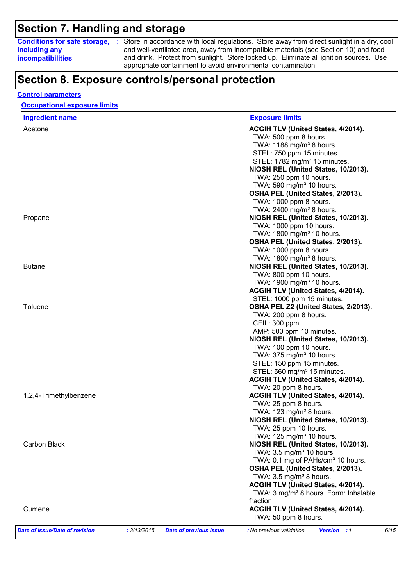### **Section 7. Handling and storage**

**including any incompatibilities**

**Conditions for safe storage,** : Store in accordance with local regulations. Store away from direct sunlight in a dry, cool and well-ventilated area, away from incompatible materials (see Section 10) and food and drink. Protect from sunlight. Store locked up. Eliminate all ignition sources. Use appropriate containment to avoid environmental contamination.

### **Section 8. Exposure controls/personal protection**

#### **Control parameters**

#### **Occupational exposure limits**

| <b>Ingredient name</b>         | <b>Exposure limits</b>                                                     |                            |
|--------------------------------|----------------------------------------------------------------------------|----------------------------|
| Acetone                        | ACGIH TLV (United States, 4/2014).                                         |                            |
|                                | TWA: 500 ppm 8 hours.                                                      |                            |
|                                | TWA: 1188 mg/m <sup>3</sup> 8 hours.                                       |                            |
|                                | STEL: 750 ppm 15 minutes.                                                  |                            |
|                                | STEL: 1782 mg/m <sup>3</sup> 15 minutes.                                   |                            |
|                                | NIOSH REL (United States, 10/2013).                                        |                            |
|                                | TWA: 250 ppm 10 hours.                                                     |                            |
|                                | TWA: 590 mg/m <sup>3</sup> 10 hours.                                       |                            |
|                                | OSHA PEL (United States, 2/2013).                                          |                            |
|                                | TWA: 1000 ppm 8 hours.                                                     |                            |
|                                | TWA: 2400 mg/m <sup>3</sup> 8 hours.                                       |                            |
| Propane                        | NIOSH REL (United States, 10/2013).                                        |                            |
|                                | TWA: 1000 ppm 10 hours.                                                    |                            |
|                                | TWA: 1800 mg/m <sup>3</sup> 10 hours.                                      |                            |
|                                | OSHA PEL (United States, 2/2013).                                          |                            |
|                                | TWA: 1000 ppm 8 hours.                                                     |                            |
|                                | TWA: 1800 mg/m <sup>3</sup> 8 hours.                                       |                            |
| <b>Butane</b>                  | NIOSH REL (United States, 10/2013).                                        |                            |
|                                | TWA: 800 ppm 10 hours.                                                     |                            |
|                                | TWA: 1900 mg/m <sup>3</sup> 10 hours.                                      |                            |
|                                | ACGIH TLV (United States, 4/2014).                                         |                            |
|                                | STEL: 1000 ppm 15 minutes.                                                 |                            |
| Toluene                        | OSHA PEL Z2 (United States, 2/2013).                                       |                            |
|                                | TWA: 200 ppm 8 hours.                                                      |                            |
|                                | CEIL: 300 ppm                                                              |                            |
|                                | AMP: 500 ppm 10 minutes.                                                   |                            |
|                                | NIOSH REL (United States, 10/2013).                                        |                            |
|                                | TWA: 100 ppm 10 hours.                                                     |                            |
|                                | TWA: 375 mg/m <sup>3</sup> 10 hours.                                       |                            |
|                                | STEL: 150 ppm 15 minutes.                                                  |                            |
|                                | STEL: 560 mg/m <sup>3</sup> 15 minutes.                                    |                            |
|                                | ACGIH TLV (United States, 4/2014).                                         |                            |
|                                | TWA: 20 ppm 8 hours.                                                       |                            |
| 1,2,4-Trimethylbenzene         | ACGIH TLV (United States, 4/2014).                                         |                            |
|                                | TWA: 25 ppm 8 hours.                                                       |                            |
|                                | TWA: 123 mg/m <sup>3</sup> 8 hours.                                        |                            |
|                                | NIOSH REL (United States, 10/2013).                                        |                            |
|                                | TWA: 25 ppm 10 hours.                                                      |                            |
|                                | TWA: 125 mg/m <sup>3</sup> 10 hours.                                       |                            |
| Carbon Black                   | NIOSH REL (United States, 10/2013).                                        |                            |
|                                | TWA: 3.5 mg/m <sup>3</sup> 10 hours.                                       |                            |
|                                | TWA: 0.1 mg of PAHs/cm <sup>3</sup> 10 hours.                              |                            |
|                                | OSHA PEL (United States, 2/2013).                                          |                            |
|                                | TWA: $3.5 \text{ mg/m}^3$ 8 hours.                                         |                            |
|                                | <b>ACGIH TLV (United States, 4/2014).</b>                                  |                            |
|                                | TWA: 3 mg/m <sup>3</sup> 8 hours. Form: Inhalable                          |                            |
|                                | fraction                                                                   |                            |
| Cumene                         | <b>ACGIH TLV (United States, 4/2014).</b>                                  |                            |
|                                | TWA: 50 ppm 8 hours.                                                       |                            |
| Date of issue/Date of revision | : 3/13/2015.<br><b>Date of previous issue</b><br>: No previous validation. | <b>Version</b> : 1<br>6/15 |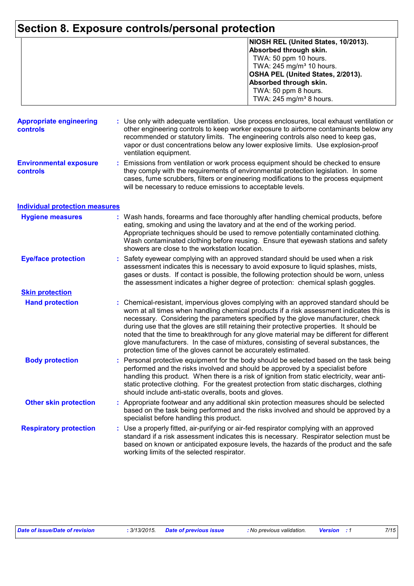# **Section 8. Exposure controls/personal protection**

|                                            |    | NIOSH REL (United States, 10/2013).<br>Absorbed through skin.<br>TWA: 50 ppm 10 hours.<br>TWA: 245 mg/m <sup>3</sup> 10 hours.<br>OSHA PEL (United States, 2/2013).<br>Absorbed through skin.<br>TWA: 50 ppm 8 hours.<br>TWA: 245 mg/m <sup>3</sup> 8 hours.                                                                                                                                                                                                                                                                                                                                                         |
|--------------------------------------------|----|----------------------------------------------------------------------------------------------------------------------------------------------------------------------------------------------------------------------------------------------------------------------------------------------------------------------------------------------------------------------------------------------------------------------------------------------------------------------------------------------------------------------------------------------------------------------------------------------------------------------|
| <b>Appropriate engineering</b><br>controls |    | : Use only with adequate ventilation. Use process enclosures, local exhaust ventilation or<br>other engineering controls to keep worker exposure to airborne contaminants below any<br>recommended or statutory limits. The engineering controls also need to keep gas,<br>vapor or dust concentrations below any lower explosive limits. Use explosion-proof<br>ventilation equipment.                                                                                                                                                                                                                              |
| <b>Environmental exposure</b><br>controls  | ÷. | Emissions from ventilation or work process equipment should be checked to ensure<br>they comply with the requirements of environmental protection legislation. In some<br>cases, fume scrubbers, filters or engineering modifications to the process equipment<br>will be necessary to reduce emissions to acceptable levels.                                                                                                                                                                                                                                                                                        |
| <b>Individual protection measures</b>      |    |                                                                                                                                                                                                                                                                                                                                                                                                                                                                                                                                                                                                                      |
| <b>Hygiene measures</b>                    |    | : Wash hands, forearms and face thoroughly after handling chemical products, before<br>eating, smoking and using the lavatory and at the end of the working period.<br>Appropriate techniques should be used to remove potentially contaminated clothing.<br>Wash contaminated clothing before reusing. Ensure that eyewash stations and safety<br>showers are close to the workstation location.                                                                                                                                                                                                                    |
| <b>Eye/face protection</b>                 | ÷. | Safety eyewear complying with an approved standard should be used when a risk<br>assessment indicates this is necessary to avoid exposure to liquid splashes, mists,<br>gases or dusts. If contact is possible, the following protection should be worn, unless<br>the assessment indicates a higher degree of protection: chemical splash goggles.                                                                                                                                                                                                                                                                  |
| <b>Skin protection</b>                     |    |                                                                                                                                                                                                                                                                                                                                                                                                                                                                                                                                                                                                                      |
| <b>Hand protection</b>                     |    | Chemical-resistant, impervious gloves complying with an approved standard should be<br>worn at all times when handling chemical products if a risk assessment indicates this is<br>necessary. Considering the parameters specified by the glove manufacturer, check<br>during use that the gloves are still retaining their protective properties. It should be<br>noted that the time to breakthrough for any glove material may be different for different<br>glove manufacturers. In the case of mixtures, consisting of several substances, the<br>protection time of the gloves cannot be accurately estimated. |
| <b>Body protection</b>                     |    | : Personal protective equipment for the body should be selected based on the task being<br>performed and the risks involved and should be approved by a specialist before<br>handling this product. When there is a risk of ignition from static electricity, wear anti-<br>static protective clothing. For the greatest protection from static discharges, clothing<br>should include anti-static overalls, boots and gloves.                                                                                                                                                                                       |
| <b>Other skin protection</b>               |    | : Appropriate footwear and any additional skin protection measures should be selected<br>based on the task being performed and the risks involved and should be approved by a<br>specialist before handling this product.                                                                                                                                                                                                                                                                                                                                                                                            |
| <b>Respiratory protection</b>              |    | : Use a properly fitted, air-purifying or air-fed respirator complying with an approved<br>standard if a risk assessment indicates this is necessary. Respirator selection must be<br>based on known or anticipated exposure levels, the hazards of the product and the safe<br>working limits of the selected respirator.                                                                                                                                                                                                                                                                                           |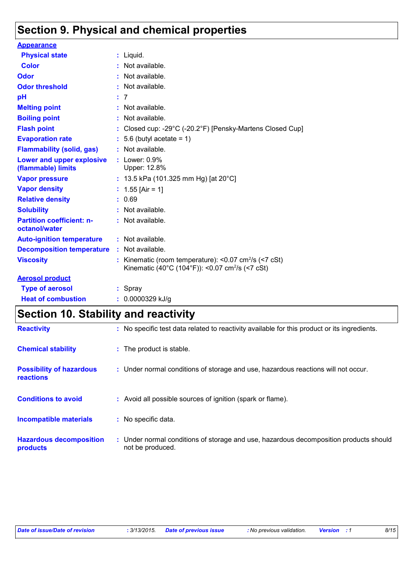### **Section 9. Physical and chemical properties**

| <b>Appearance</b>                                 |    |                                                                                                                                       |
|---------------------------------------------------|----|---------------------------------------------------------------------------------------------------------------------------------------|
| <b>Physical state</b>                             |    | : Liquid.                                                                                                                             |
| <b>Color</b>                                      |    | $:$ Not available.                                                                                                                    |
| <b>Odor</b>                                       |    | : Not available.                                                                                                                      |
| <b>Odor threshold</b>                             |    | : Not available.                                                                                                                      |
| рH                                                |    | : 7                                                                                                                                   |
| <b>Melting point</b>                              |    | : Not available.                                                                                                                      |
| <b>Boiling point</b>                              |    | : Not available.                                                                                                                      |
| <b>Flash point</b>                                |    | : Closed cup: -29 $^{\circ}$ C (-20.2 $^{\circ}$ F) [Pensky-Martens Closed Cup]                                                       |
| <b>Evaporation rate</b>                           |    | $: 5.6$ (butyl acetate = 1)                                                                                                           |
| <b>Flammability (solid, gas)</b>                  |    | : Not available.                                                                                                                      |
| Lower and upper explosive<br>(flammable) limits   |    | $:$ Lower: $0.9\%$<br>Upper: 12.8%                                                                                                    |
| <b>Vapor pressure</b>                             |    | : 13.5 kPa (101.325 mm Hg) [at $20^{\circ}$ C]                                                                                        |
| <b>Vapor density</b>                              |    | : $1.55$ [Air = 1]                                                                                                                    |
| <b>Relative density</b>                           |    | : 0.69                                                                                                                                |
| <b>Solubility</b>                                 |    | : Not available.                                                                                                                      |
| <b>Partition coefficient: n-</b><br>octanol/water |    | : Not available.                                                                                                                      |
| <b>Auto-ignition temperature</b>                  |    | : Not available.                                                                                                                      |
| <b>Decomposition temperature</b>                  |    | $:$ Not available.                                                                                                                    |
| <b>Viscosity</b>                                  | t. | Kinematic (room temperature): $< 0.07$ cm <sup>2</sup> /s ( $< 7$ cSt)<br>Kinematic (40°C (104°F)): <0.07 cm <sup>2</sup> /s (<7 cSt) |
| <b>Aerosol product</b>                            |    |                                                                                                                                       |
| <b>Type of aerosol</b>                            |    | : Spray                                                                                                                               |
| <b>Heat of combustion</b>                         |    | $: 0.0000329$ kJ/g                                                                                                                    |

## **Section 10. Stability and reactivity**

| <b>Reactivity</b>                                   | : No specific test data related to reactivity available for this product or its ingredients.              |
|-----------------------------------------------------|-----------------------------------------------------------------------------------------------------------|
| <b>Chemical stability</b>                           | : The product is stable.                                                                                  |
| <b>Possibility of hazardous</b><br><b>reactions</b> | : Under normal conditions of storage and use, hazardous reactions will not occur.                         |
| <b>Conditions to avoid</b>                          | : Avoid all possible sources of ignition (spark or flame).                                                |
| <b>Incompatible materials</b>                       | : No specific data.                                                                                       |
| <b>Hazardous decomposition</b><br>products          | : Under normal conditions of storage and use, hazardous decomposition products should<br>not be produced. |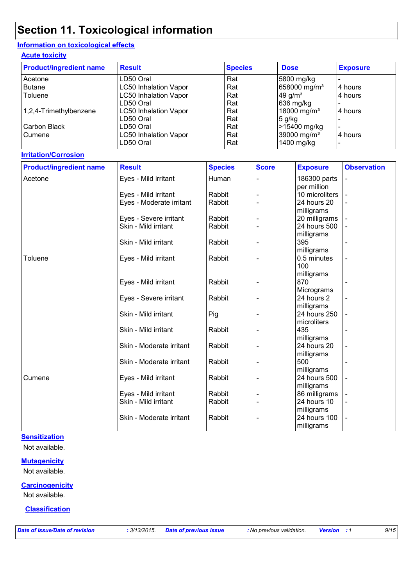## **Section 11. Toxicological information**

### **Information on toxicological effects**

#### **Acute toxicity**

| <b>Product/ingredient name</b> | <b>Result</b>                | <b>Species</b> | <b>Dose</b>              | <b>Exposure</b> |
|--------------------------------|------------------------------|----------------|--------------------------|-----------------|
| Acetone                        | LD50 Oral                    | Rat            | 5800 mg/kg               |                 |
| <b>Butane</b>                  | LC50 Inhalation Vapor        | Rat            | 658000 mg/m <sup>3</sup> | 14 hours        |
| Toluene                        | <b>LC50 Inhalation Vapor</b> | Rat            | $49$ g/m <sup>3</sup>    | 4 hours         |
|                                | LD50 Oral                    | Rat            | 636 mg/kg                |                 |
| 1,2,4-Trimethylbenzene         | <b>LC50 Inhalation Vapor</b> | Rat            | 18000 mg/m <sup>3</sup>  | 4 hours         |
|                                | LD50 Oral                    | Rat            | 5 g/kg                   |                 |
| Carbon Black                   | LD50 Oral                    | Rat            | >15400 mg/kg             |                 |
| ⊩Cumene                        | <b>LC50 Inhalation Vapor</b> | Rat            | 39000 mg/m <sup>3</sup>  | 4 hours         |
|                                | LD50 Oral                    | Rat            | 1400 mg/kg               |                 |

#### **Irritation/Corrosion**

| <b>Product/ingredient name</b> | <b>Result</b>            | <b>Species</b> | <b>Score</b>   | <b>Exposure</b> | <b>Observation</b>       |
|--------------------------------|--------------------------|----------------|----------------|-----------------|--------------------------|
| Acetone                        | Eyes - Mild irritant     | Human          | $\blacksquare$ | 186300 parts    | $\overline{a}$           |
|                                |                          |                |                | per million     |                          |
|                                | Eyes - Mild irritant     | Rabbit         |                | 10 microliters  |                          |
|                                | Eyes - Moderate irritant | Rabbit         |                | 24 hours 20     |                          |
|                                |                          |                |                | milligrams      |                          |
|                                | Eyes - Severe irritant   | Rabbit         |                | 20 milligrams   |                          |
|                                | Skin - Mild irritant     | Rabbit         |                | 24 hours 500    |                          |
|                                |                          |                |                | milligrams      |                          |
|                                | Skin - Mild irritant     | Rabbit         |                | 395             |                          |
|                                |                          |                |                | milligrams      |                          |
| Toluene                        | Eyes - Mild irritant     | Rabbit         |                | 0.5 minutes     | $\overline{\phantom{a}}$ |
|                                |                          |                |                | 100             |                          |
|                                |                          |                |                | milligrams      |                          |
|                                | Eyes - Mild irritant     | Rabbit         |                | 870             |                          |
|                                |                          |                |                | Micrograms      |                          |
|                                | Eyes - Severe irritant   | Rabbit         |                | 24 hours 2      | $\blacksquare$           |
|                                |                          |                |                | milligrams      |                          |
|                                | Skin - Mild irritant     | Pig            |                | 24 hours 250    |                          |
|                                |                          |                |                | microliters     |                          |
|                                | Skin - Mild irritant     | Rabbit         |                | 435             | $\overline{\phantom{a}}$ |
|                                |                          |                |                | milligrams      |                          |
|                                | Skin - Moderate irritant | Rabbit         |                | 24 hours 20     |                          |
|                                |                          |                |                | milligrams      |                          |
|                                | Skin - Moderate irritant | Rabbit         |                | 500             |                          |
|                                |                          |                |                | milligrams      |                          |
| Cumene                         | Eyes - Mild irritant     | Rabbit         |                | 24 hours 500    |                          |
|                                |                          |                |                | milligrams      |                          |
|                                | Eyes - Mild irritant     | Rabbit         |                | 86 milligrams   |                          |
|                                | Skin - Mild irritant     | Rabbit         |                | 24 hours 10     |                          |
|                                |                          |                |                | milligrams      |                          |
|                                | Skin - Moderate irritant | Rabbit         |                | 24 hours 100    |                          |
|                                |                          |                |                | milligrams      |                          |

#### **Sensitization**

Not available.

#### **Mutagenicity**

Not available.

#### **Carcinogenicity**

Not available.

#### **Classification**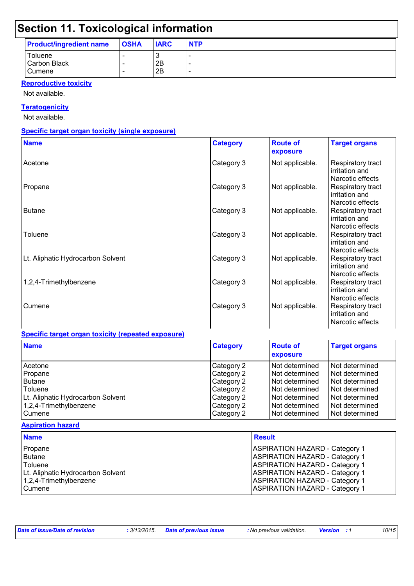## **Section 11. Toxicological information**

| <b>Product/ingredient name</b>    | <b>OSHA</b> | <b>IARC</b> | <b>NTP</b>                         |
|-----------------------------------|-------------|-------------|------------------------------------|
| Toluene<br>Carbon Black<br>Cumene |             | 2B<br>2B    | -<br>$\overline{\phantom{0}}$<br>- |
|                                   |             |             |                                    |

#### **Reproductive toxicity**

Not available.

#### **Teratogenicity**

Not available.

#### **Specific target organ toxicity (single exposure)**

| <b>Name</b>                       | <b>Category</b> | <b>Route of</b><br>exposure | <b>Target organs</b>                                    |
|-----------------------------------|-----------------|-----------------------------|---------------------------------------------------------|
| Acetone                           | Category 3      | Not applicable.             | Respiratory tract<br>irritation and<br>Narcotic effects |
| Propane                           | Category 3      | Not applicable.             | Respiratory tract<br>irritation and<br>Narcotic effects |
| <b>Butane</b>                     | Category 3      | Not applicable.             | Respiratory tract<br>irritation and<br>Narcotic effects |
| Toluene                           | Category 3      | Not applicable.             | Respiratory tract<br>irritation and<br>Narcotic effects |
| Lt. Aliphatic Hydrocarbon Solvent | Category 3      | Not applicable.             | Respiratory tract<br>irritation and<br>Narcotic effects |
| 1,2,4-Trimethylbenzene            | Category 3      | Not applicable.             | Respiratory tract<br>irritation and<br>Narcotic effects |
| Cumene                            | Category 3      | Not applicable.             | Respiratory tract<br>irritation and<br>Narcotic effects |

#### **Specific target organ toxicity (repeated exposure)**

| <b>Name</b>                       | <b>Category</b> | <b>Route of</b><br>exposure | <b>Target organs</b> |
|-----------------------------------|-----------------|-----------------------------|----------------------|
| Acetone                           | Category 2      | l Not determined            | Not determined       |
| Propane                           | Category 2      | l Not determined            | Not determined       |
| <b>Butane</b>                     | Category 2      | Not determined              | Not determined       |
| Toluene                           | Category 2      | l Not determined            | Not determined       |
| Lt. Aliphatic Hydrocarbon Solvent | Category 2      | l Not determined            | Not determined       |
| 1,2,4-Trimethylbenzene            | Category 2      | l Not determined            | Not determined       |
| Cumene                            | Category 2      | Not determined              | Not determined       |

#### **Aspiration hazard**

| <b>Name</b>                       | <b>Result</b>                         |
|-----------------------------------|---------------------------------------|
| Propane                           | <b>ASPIRATION HAZARD - Category 1</b> |
| Butane                            | <b>ASPIRATION HAZARD - Category 1</b> |
| Toluene                           | <b>ASPIRATION HAZARD - Category 1</b> |
| Lt. Aliphatic Hydrocarbon Solvent | <b>ASPIRATION HAZARD - Category 1</b> |
| 1,2,4-Trimethylbenzene            | <b>ASPIRATION HAZARD - Category 1</b> |
| Cumene                            | <b>ASPIRATION HAZARD - Category 1</b> |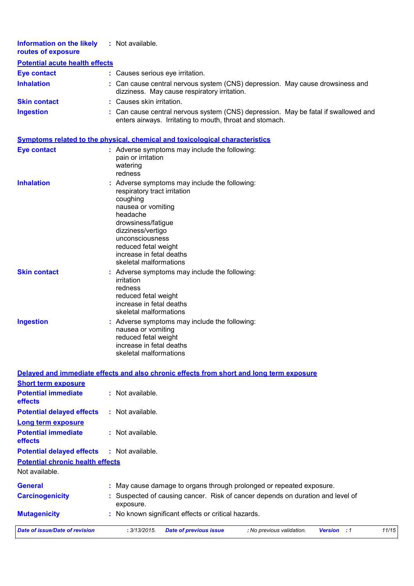| Information on the likely<br>routes of exposure | : Not available.                                                                                                                               |
|-------------------------------------------------|------------------------------------------------------------------------------------------------------------------------------------------------|
| <b>Potential acute health effects</b>           |                                                                                                                                                |
| <b>Eye contact</b>                              | : Causes serious eye irritation.                                                                                                               |
| <b>Inhalation</b>                               | : Can cause central nervous system (CNS) depression. May cause drowsiness and<br>dizziness. May cause respiratory irritation.                  |
| <b>Skin contact</b>                             | : Causes skin irritation.                                                                                                                      |
| <b>Ingestion</b>                                | : Can cause central nervous system (CNS) depression. May be fatal if swallowed and<br>enters airways. Irritating to mouth, throat and stomach. |
|                                                 | <u>Symptoms related to the physical, chemical and toxicological characteristics</u>                                                            |

| <b>Eye contact</b>  | : Adverse symptoms may include the following:<br>pain or irritation<br>watering<br>redness                                                                                                                                                                              |
|---------------------|-------------------------------------------------------------------------------------------------------------------------------------------------------------------------------------------------------------------------------------------------------------------------|
| <b>Inhalation</b>   | : Adverse symptoms may include the following:<br>respiratory tract irritation<br>coughing<br>nausea or vomiting<br>headache<br>drowsiness/fatigue<br>dizziness/vertigo<br>unconsciousness<br>reduced fetal weight<br>increase in fetal deaths<br>skeletal malformations |
| <b>Skin contact</b> | : Adverse symptoms may include the following:<br>irritation<br>redness<br>reduced fetal weight<br>increase in fetal deaths<br>skeletal malformations                                                                                                                    |
| <b>Ingestion</b>    | : Adverse symptoms may include the following:<br>nausea or vomiting<br>reduced fetal weight<br>increase in fetal deaths<br>skeletal malformations                                                                                                                       |

|                                                   | Delayed and immediate effects and also chronic effects from short and long term exposure                  |
|---------------------------------------------------|-----------------------------------------------------------------------------------------------------------|
| <b>Short term exposure</b>                        |                                                                                                           |
| <b>Potential immediate</b><br><b>effects</b>      | : Not available.                                                                                          |
| <b>Potential delayed effects</b>                  | : Not available.                                                                                          |
| <b>Long term exposure</b>                         |                                                                                                           |
| <b>Potential immediate</b><br><b>effects</b>      | : Not available.                                                                                          |
| <b>Potential delayed effects : Not available.</b> |                                                                                                           |
| <b>Potential chronic health effects</b>           |                                                                                                           |
| Not available.                                    |                                                                                                           |
| <b>General</b>                                    | : May cause damage to organs through prolonged or repeated exposure.                                      |
| <b>Carcinogenicity</b>                            | : Suspected of causing cancer. Risk of cancer depends on duration and level of<br>exposure.               |
| <b>Mutagenicity</b>                               | : No known significant effects or critical hazards.                                                       |
| <b>Date of issue/Date of revision</b>             | 11/15<br>: 3/13/2015.<br><b>Date of previous issue</b><br>: No previous validation.<br><b>Version</b> : 1 |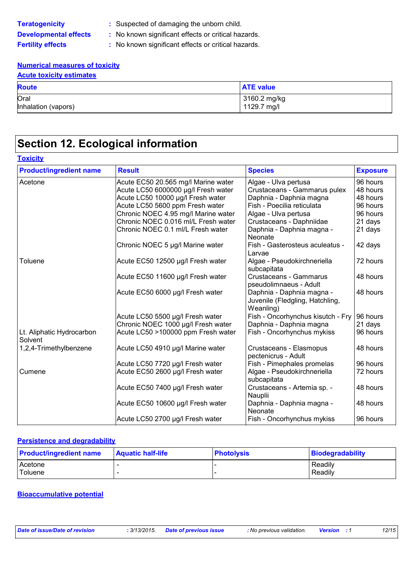| <b>Teratogenicity</b>        |
|------------------------------|
| <b>Developmental effects</b> |
| Fertility effects            |

- **:** Suspected of damaging the unborn child.
- **:** No known significant effects or critical hazards.

**:** No known significant effects or critical hazards.

#### **Numerical measures of toxicity**

| <b>Acute toxicity estimates</b> |                             |  |
|---------------------------------|-----------------------------|--|
| <b>Route</b>                    | <b>ATE value</b>            |  |
| Oral<br>Inhalation (vapors)     | 3160.2 mg/kg<br>1129.7 mg/l |  |

### **Section 12. Ecological information**

| <b>Product/ingredient name</b>       | <b>Result</b>                       | <b>Species</b>                                                            | <b>Exposure</b> |
|--------------------------------------|-------------------------------------|---------------------------------------------------------------------------|-----------------|
| Acetone                              | Acute EC50 20.565 mg/l Marine water | Algae - Ulva pertusa                                                      | 96 hours        |
|                                      | Acute LC50 6000000 µg/l Fresh water | Crustaceans - Gammarus pulex                                              | 48 hours        |
|                                      | Acute LC50 10000 µg/l Fresh water   | Daphnia - Daphnia magna                                                   | 48 hours        |
|                                      | Acute LC50 5600 ppm Fresh water     | Fish - Poecilia reticulata                                                | 96 hours        |
|                                      | Chronic NOEC 4.95 mg/l Marine water | Algae - Ulva pertusa                                                      | 96 hours        |
|                                      | Chronic NOEC 0.016 ml/L Fresh water | Crustaceans - Daphniidae                                                  | 21 days         |
|                                      | Chronic NOEC 0.1 ml/L Fresh water   | Daphnia - Daphnia magna -<br>Neonate                                      | 21 days         |
|                                      | Chronic NOEC 5 µg/l Marine water    | Fish - Gasterosteus aculeatus -<br>Larvae                                 | 42 days         |
| Toluene                              | Acute EC50 12500 µg/l Fresh water   | Algae - Pseudokirchneriella<br>subcapitata                                | 72 hours        |
|                                      | Acute EC50 11600 µg/l Fresh water   | Crustaceans - Gammarus<br>pseudolimnaeus - Adult                          | 48 hours        |
|                                      | Acute EC50 6000 µg/l Fresh water    | Daphnia - Daphnia magna -<br>Juvenile (Fledgling, Hatchling,<br>Weanling) | 48 hours        |
|                                      | Acute LC50 5500 µg/l Fresh water    | Fish - Oncorhynchus kisutch - Fry                                         | 96 hours        |
|                                      | Chronic NOEC 1000 µg/l Fresh water  | Daphnia - Daphnia magna                                                   | 21 days         |
| Lt. Aliphatic Hydrocarbon<br>Solvent | Acute LC50 >100000 ppm Fresh water  | Fish - Oncorhynchus mykiss                                                | 96 hours        |
| 1,2,4-Trimethylbenzene               | Acute LC50 4910 µg/l Marine water   | Crustaceans - Elasmopus<br>pectenicrus - Adult                            | 48 hours        |
|                                      | Acute LC50 7720 µg/l Fresh water    | Fish - Pimephales promelas                                                | 96 hours        |
| Cumene                               | Acute EC50 2600 µg/l Fresh water    | Algae - Pseudokirchneriella<br>subcapitata                                | 72 hours        |
|                                      | Acute EC50 7400 µg/l Fresh water    | Crustaceans - Artemia sp. -<br>Nauplii                                    | 48 hours        |
|                                      | Acute EC50 10600 µg/l Fresh water   | Daphnia - Daphnia magna -<br>Neonate                                      | 48 hours        |
|                                      | Acute LC50 2700 µg/l Fresh water    | Fish - Oncorhynchus mykiss                                                | 96 hours        |

#### **Persistence and degradability**

| <b>Product/ingredient name</b> | <b>Aquatic half-life</b> | <b>Photolysis</b> | Biodegradability |
|--------------------------------|--------------------------|-------------------|------------------|
| Acetone                        |                          |                   | Readily          |
| Toluene                        |                          |                   | Readily          |

#### **Bioaccumulative potential**

*Date of issue/Date of revision* **:** *3/13/2015. Date of previous issue : No previous validation. Version : 1 12/15*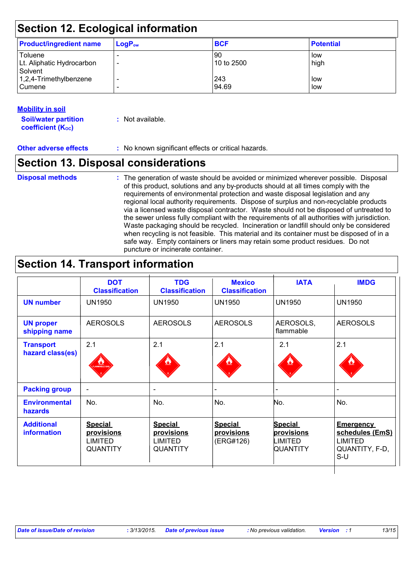| <b>Section 12. Ecological information</b>       |             |                  |                  |  |
|-------------------------------------------------|-------------|------------------|------------------|--|
| <b>Product/ingredient name</b>                  | $LogP_{ow}$ | <b>BCF</b>       | <b>Potential</b> |  |
| Toluene<br>Lt. Aliphatic Hydrocarbon<br>Solvent |             | 90<br>10 to 2500 | low<br>high      |  |
| 1,2,4-Trimethylbenzene<br>Cumene                |             | 243<br>94.69     | low<br>low       |  |

| <b>Mobility in soil</b>     |                  |
|-----------------------------|------------------|
| <b>Soil/water partition</b> | : Not available. |
| coefficient $(K_{oc})$      |                  |

**Other adverse effects** : No known significant effects or critical hazards.

### **Section 13. Disposal considerations**

### **Disposal methods :**

The generation of waste should be avoided or minimized wherever possible. Disposal of this product, solutions and any by-products should at all times comply with the requirements of environmental protection and waste disposal legislation and any regional local authority requirements. Dispose of surplus and non-recyclable products via a licensed waste disposal contractor. Waste should not be disposed of untreated to the sewer unless fully compliant with the requirements of all authorities with jurisdiction. Waste packaging should be recycled. Incineration or landfill should only be considered when recycling is not feasible. This material and its container must be disposed of in a safe way. Empty containers or liners may retain some product residues. Do not puncture or incinerate container.

### **Section 14. Transport information**

|                                         | <b>DOT</b><br><b>Classification</b>                               | <b>TDG</b><br><b>Classification</b>                               | <b>Mexico</b><br><b>Classification</b>    | <b>IATA</b>                                         | <b>IMDG</b>                                                                      |
|-----------------------------------------|-------------------------------------------------------------------|-------------------------------------------------------------------|-------------------------------------------|-----------------------------------------------------|----------------------------------------------------------------------------------|
| <b>UN number</b>                        | <b>UN1950</b>                                                     | <b>UN1950</b>                                                     | <b>UN1950</b>                             | <b>UN1950</b>                                       | <b>UN1950</b>                                                                    |
| <b>UN proper</b><br>shipping name       | <b>AEROSOLS</b>                                                   | <b>AEROSOLS</b>                                                   | <b>AEROSOLS</b>                           | AEROSOLS,<br>flammable                              | <b>AEROSOLS</b>                                                                  |
| <b>Transport</b><br>hazard class(es)    | 2.1<br>LAMMABLE GA                                                | 2.1<br>$\mathbf{v}$                                               | 2.1                                       | 2.1                                                 | 2.1                                                                              |
| <b>Packing group</b>                    | $\overline{\phantom{a}}$                                          | $\overline{\phantom{a}}$                                          |                                           |                                                     |                                                                                  |
| <b>Environmental</b><br><b>hazards</b>  | No.                                                               | No.                                                               | No.                                       | No.                                                 | No.                                                                              |
| <b>Additional</b><br><b>information</b> | <b>Special</b><br>provisions<br><b>LIMITED</b><br><b>QUANTITY</b> | <b>Special</b><br>provisions<br><b>LIMITED</b><br><b>QUANTITY</b> | <b>Special</b><br>provisions<br>(ERG#126) | <b>Special</b><br>provisions<br>LIMITED<br>QUANTITY | <b>Emergency</b><br>schedules (EmS)<br><b>LIMITED</b><br>QUANTITY, F-D,<br>$S-U$ |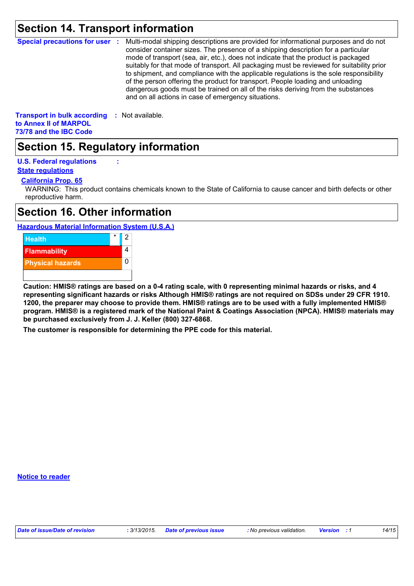### **Section 14. Transport information**

**Special precautions for user :** Multi-modal shipping descriptions are provided for informational purposes and do not consider container sizes. The presence of a shipping description for a particular mode of transport (sea, air, etc.), does not indicate that the product is packaged suitably for that mode of transport. All packaging must be reviewed for suitability prior to shipment, and compliance with the applicable regulations is the sole responsibility of the person offering the product for transport. People loading and unloading dangerous goods must be trained on all of the risks deriving from the substances and on all actions in case of emergency situations.

**Transport in bulk according :** Not available. **to Annex II of MARPOL 73/78 and the IBC Code**

### **Section 15. Regulatory information**

**U.S. Federal regulations :**

#### **California Prop. 65 State regulations**

WARNING: This product contains chemicals known to the State of California to cause cancer and birth defects or other reproductive harm.

### **Section 16. Other information**

#### **Hazardous Material Information System (U.S.A.)**



**Caution: HMIS® ratings are based on a 0-4 rating scale, with 0 representing minimal hazards or risks, and 4 representing significant hazards or risks Although HMIS® ratings are not required on SDSs under 29 CFR 1910. 1200, the preparer may choose to provide them. HMIS® ratings are to be used with a fully implemented HMIS® program. HMIS® is a registered mark of the National Paint & Coatings Association (NPCA). HMIS® materials may be purchased exclusively from J. J. Keller (800) 327-6868.**

**The customer is responsible for determining the PPE code for this material.**

**Notice to reader**